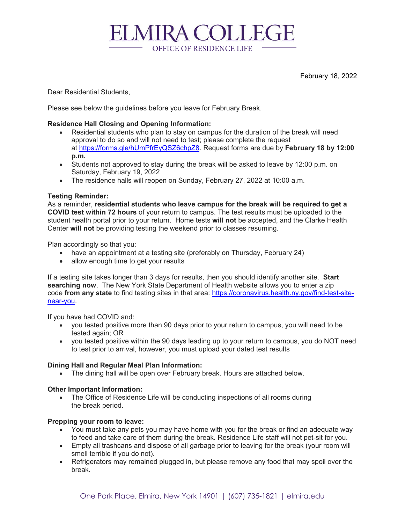**ELMIRA COLLEGE** OFFICE OF RESIDENCE LIFE

February 18, 2022

Dear Residential Students,

Please see below the guidelines before you leave for February Break.

# **Residence Hall Closing and Opening Information:**

- Residential students who plan to stay on campus for the duration of the break will need approval to do so and will not need to test; please complete the request at [https://forms.gle/hUmPfrEyQSZ6chpZ8.](https://forms.gle/hUmPfrEyQSZ6chpZ8) Request forms are due by **February 18 by 12:00 p.m.**
- Students not approved to stay during the break will be asked to leave by 12:00 p.m. on Saturday, February 19, 2022
- The residence halls will reopen on Sunday, February 27, 2022 at 10:00 a.m.

## **Testing Reminder:**

As a reminder, **residential students who leave campus for the break will be required to get a COVID test within 72 hours** of your return to campus. The test results must be uploaded to the student health portal prior to your return. Home tests **will not** be accepted, and the Clarke Health Center **will not** be providing testing the weekend prior to classes resuming.

Plan accordingly so that you:

- have an appointment at a testing site (preferably on Thursday, February 24)
- allow enough time to get your results

If a testing site takes longer than 3 days for results, then you should identify another site. **Start searching now**. The New York State Department of Health website allows you to enter a zip code **from any state** to find testing sites in that area: [https://coronavirus.health.ny.gov/find-test-site](https://coronavirus.health.ny.gov/find-test-site-near-you)[near-you.](https://coronavirus.health.ny.gov/find-test-site-near-you)

If you have had COVID and:

- you tested positive more than 90 days prior to your return to campus, you will need to be tested again; OR
- you tested positive within the 90 days leading up to your return to campus, you do NOT need to test prior to arrival, however, you must upload your dated test results

## **Dining Hall and Regular Meal Plan Information:**

• The dining hall will be open over February break. Hours are attached below.

## **Other Important Information:**

• The Office of Residence Life will be conducting inspections of all rooms during the break period.

#### **Prepping your room to leave:**

- You must take any pets you may have home with you for the break or find an adequate way to feed and take care of them during the break. Residence Life staff will not pet-sit for you.
- Empty all trashcans and dispose of all garbage prior to leaving for the break (your room will smell terrible if you do not).
- Refrigerators may remained plugged in, but please remove any food that may spoil over the break.